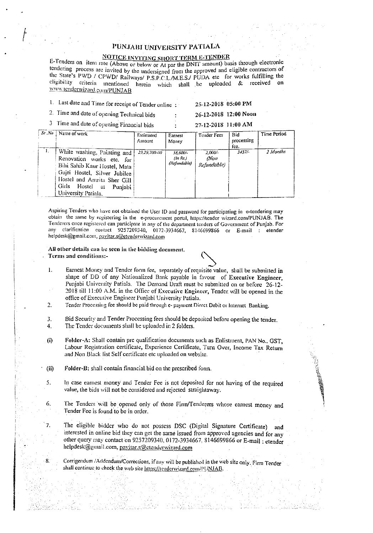## PUNJABI UNIVERSITY PATIALA

<u>NOTICE INVITING SHORT TERM E-TENDER</u> E-Tenders on item rate (Above or below or At par the DNIT amount) basis through electronic tendering process are invited by the undersigned from the approved and eligible contractors of the State's PWD / CPWD/ Railways/ P.S.P.C.L.M.E.S./ PUDA etc for works fulfilling the cligibility criteria mentioned herein which shall be uploaded & received on www.tenderwizard.com/PUNJAB

1. Last date and Time for receipt of Tender online: 25-12-2018 05:00 PM

2. Time and date of opening Technical bids 26-12-2018 12:00 Noon

3 Time and date of opening Financial bids

| Sr No | Name of work                                                                                                                                                                                                 | Estimated<br>Amount | Earnest<br>Money                  | Tender Fees                            | <b>Bid</b><br>processing<br>fee. | Time Period |
|-------|--------------------------------------------------------------------------------------------------------------------------------------------------------------------------------------------------------------|---------------------|-----------------------------------|----------------------------------------|----------------------------------|-------------|
| Ι.    | White washing, Painting and<br>Renovation works etc. for<br>Bihi Sahib Kaur Hostel, Mata<br>Gujri Hostel, Silver Jubilee<br>Hostel and Amrita Sher Gill<br>Girls Hostel at<br>Punjabi<br>University Patiala. | 29.29.700-00        | 58 600/-<br>ln Rs<br>(Refundable) | $2.000 -$<br><b>Non</b><br>Refundable) | 3457/-                           | 2 Months    |

 $\ddot{\cdot}$ 

27-12-2018 11:00 AM

Aspiring Tenders who have not obtained the User 1D and password for participating in e-tendering may obtain the same by registering in the e-procurement portal, https://tender wizard.com/PUNJAB. The Tenderers once registered can participate in any of the department tenders of Government of Punjab. For any clarification contact 9257209340, 0172-3934667, 8146699866 or E-mail : etender helpdesk@gmail.com, pavitar.s@etenderwizard.com

All other details can be seen in the bidding document. Terms and conditions:-

- 1. Earnest Money and Tender form fee, separately of requisite value, shall be submitted in shape of DD of any Nationalized Bank payable in favour of Executive Engineer, Punjabi University Patiala. The Demand Draft must be submitted on or before 26-12-2018 till 11:00 A.M. in the Office of Executive Engineer, Tender will be opened in the office of Executive Engineer Punjabi University Patiala.
- 2. Tender Processing fee should be paid through e- payment Direct Debit or Internet Banking.
- Bid Security and Tender Processing fees should be deposited before opening the tender. 3.
- $\overline{4}$ . The Tender documents shall be uploaded in 2 folders.
- Folder-A: Shall contain pre qualification documents such as Enlistment, PAN No., GST,  $(i)$ Labour Registration certificate, Experience Certificate, Turn Over, Income Tax Return and Non Black list Self certificate etc uploaded on website.
- Folder-B: shall contain financial bid on the prescribed form.  $(ii)$

7.

- In case earnest money and Tender Fee is not deposited for not having of the required 5. value, the bids will not be considered and rejected straightaway.
- The Tenders will be opened only of those Firm/Tenderers whose carnest money and 6. Tender Fee is found to be in order.
	- The eligible bidder who do not possess DSC (Digital Signature Certificate) and interested in online bid they can get the same issued from approved agencies and for any other query may contact on 9257209340, 0172-3934667, 8146699866 or E-mail: etender helpdesk@gmail.com, pavitar.s@etenderwizard.com

Corrigendum /Addendum/Corrections, if any will be published in the web site only. Firm Tender shall continue to check the web site https://tenderwizard.com/PUNJAB.